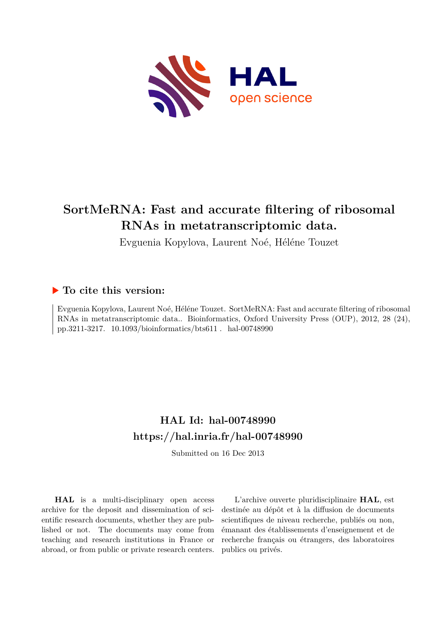

# **SortMeRNA: Fast and accurate filtering of ribosomal RNAs in metatranscriptomic data.**

Evguenia Kopylova, Laurent Noé, Héléne Touzet

# **To cite this version:**

Evguenia Kopylova, Laurent Noé, Héléne Touzet. SortMeRNA: Fast and accurate filtering of ribosomal RNAs in metatranscriptomic data.. Bioinformatics, Oxford University Press (OUP), 2012, 28 (24), pp.3211-3217.  $10.1093/bioinformatics/bts611$ . hal-00748990

# **HAL Id: hal-00748990 <https://hal.inria.fr/hal-00748990>**

Submitted on 16 Dec 2013

**HAL** is a multi-disciplinary open access archive for the deposit and dissemination of scientific research documents, whether they are published or not. The documents may come from teaching and research institutions in France or abroad, or from public or private research centers.

L'archive ouverte pluridisciplinaire **HAL**, est destinée au dépôt et à la diffusion de documents scientifiques de niveau recherche, publiés ou non, émanant des établissements d'enseignement et de recherche français ou étrangers, des laboratoires publics ou privés.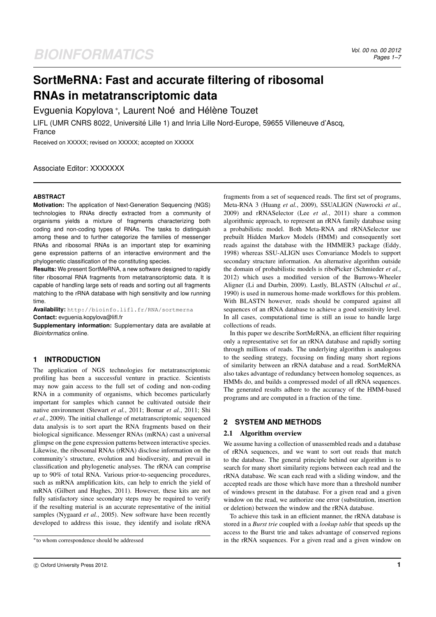# **SortMeRNA: Fast and accurate filtering of ribosomal RNAs in metatranscriptomic data**

Evguenia Kopylova \*, Laurent Noé and Hélène Touzet

LIFL (UMR CNRS 8022, Universite Lille 1) and Inria Lille Nord-Europe, 59655 Villeneuve d'Ascq, ´ France

Received on XXXXX; revised on XXXXX; accepted on XXXXX

# Associate Editor: XXXXXXX

# **ABSTRACT**

**Motivation:** The application of Next-Generation Sequencing (NGS) technologies to RNAs directly extracted from a community of organisms yields a mixture of fragments characterizing both coding and non-coding types of RNAs. The tasks to distinguish among these and to further categorize the families of messenger RNAs and ribosomal RNAs is an important step for examining gene expression patterns of an interactive environment and the phylogenetic classification of the constituting species.

**Results:** We present SortMeRNA, a new software designed to rapidly filter ribosomal RNA fragments from metatranscriptomic data. It is capable of handling large sets of reads and sorting out all fragments matching to the rRNA database with high sensitivity and low running time.

**Availability:** http://bioinfo.lifl.fr/RNA/sortmerna **Contact:** evguenia.kopylova@lifl.fr

**Supplementary information:** Supplementary data are available at *Bioinformatics* online.

# **1 INTRODUCTION**

The application of NGS technologies for metatranscriptomic profiling has been a successful venture in practice. Scientists may now gain access to the full set of coding and non-coding RNA in a community of organisms, which becomes particularly important for samples which cannot be cultivated outside their native environment (Stewart *et al.*, 2011; Bomar *et al.*, 2011; Shi *et al.*, 2009). The initial challenge of metatranscriptomic sequenced data analysis is to sort apart the RNA fragments based on their biological significance. Messenger RNAs (mRNA) cast a universal glimpse on the gene expression patterns between interactive species. Likewise, the ribosomal RNAs (rRNA) disclose information on the community's structure, evolution and biodiversity, and prevail in classification and phylogenetic analyses. The rRNA can comprise up to 90% of total RNA. Various prior-to-sequencing procedures, such as mRNA amplification kits, can help to enrich the yield of mRNA (Gilbert and Hughes, 2011). However, these kits are not fully satisfactory since secondary steps may be required to verify if the resulting material is an accurate representative of the initial samples (Nygaard *et al.*, 2005). New software have been recently developed to address this issue, they identify and isolate rRNA

fragments from a set of sequenced reads. The first set of programs, Meta-RNA 3 (Huang *et al.*, 2009), SSUALIGN (Nawrocki *et al.*, 2009) and rRNASelector (Lee *et al.*, 2011) share a common algorithmic approach, to represent an rRNA family database using a probabilistic model. Both Meta-RNA and rRNASelector use prebuilt Hidden Markov Models (HMM) and consequently sort reads against the database with the HMMER3 package (Eddy, 1998) whereas SSU-ALIGN uses Convariance Models to support secondary structure information. An alternative algorithm outside the domain of probabilistic models is riboPicker (Schmieder *et al.*, 2012) which uses a modified version of the Burrows-Wheeler Aligner (Li and Durbin, 2009). Lastly, BLASTN (Altschul *et al.*, 1990) is used in numerous home-made workflows for this problem. With BLASTN however, reads should be compared against all sequences of an rRNA database to achieve a good sensitivity level. In all cases, computational time is still an issue to handle large collections of reads.

In this paper we describe SortMeRNA, an efficient filter requiring only a representative set for an rRNA database and rapidly sorting through millions of reads. The underlying algorithm is analogous to the seeding strategy, focusing on finding many short regions of similarity between an rRNA database and a read. SortMeRNA also takes advantage of redundancy between homolog sequences, as HMMs do, and builds a compressed model of all rRNA sequences. The generated results adhere to the accuracy of the HMM-based programs and are computed in a fraction of the time.

# **2 SYSTEM AND METHODS**

#### 2.1 Algorithm overview

We assume having a collection of unassembled reads and a database of rRNA sequences, and we want to sort out reads that match to the database. The general principle behind our algorithm is to search for many short similarity regions between each read and the rRNA database. We scan each read with a sliding window, and the accepted reads are those which have more than a threshold number of windows present in the database. For a given read and a given window on the read, we authorize one error (substitution, insertion or deletion) between the window and the rRNA database.

To achieve this task in an efficient manner, the rRNA database is stored in a *Burst trie* coupled with a *lookup table* that speeds up the access to the Burst trie and takes advantage of conserved regions in the rRNA sequences. For a given read and a given window on

<sup>∗</sup>to whom correspondence should be addressed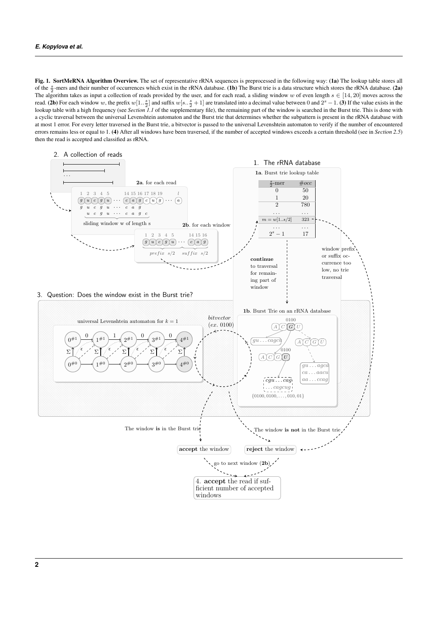Fig. 1. SortMeRNA Algorithm Overview. The set of representative rRNA sequences is preprocessed in the following way: (1a) The lookup table stores all of the  $\frac{s}{2}$ -mers and their number of occurrences which exist in the rRNA database. (1b) The Burst trie is a data structure which stores the rRNA database. (2a) The algorithm takes as input a collection of reads provided by the user, and for each read, a sliding window w of even length  $s \in [14, 20]$  moves across the read. (2b) For each window w, the prefix  $w[1..\frac{s}{2}]$  and suffix  $w[s..\frac{s}{2}+1]$  are translated into a decimal value between 0 and  $2^s - 1$ . (3) If the value exists in the lookup table with a high frequency (see *Section 1.1* of the supplementary file), the remaining part of the window is searched in the Burst trie. This is done with a cyclic traversal between the universal Levenshtein automaton and the Burst trie that determines whether the subpattern is present in the rRNA database with at most 1 error. For every letter traversed in the Burst trie, a bitvector is passed to the universal Levenshtein automaton to verify if the number of encountered errors remains less or equal to 1. (4) After all windows have been traversed, if the number of accepted windows exceeds a certain threshold (see in *Section 2.5*) then the read is accepted and classified as rRNA.

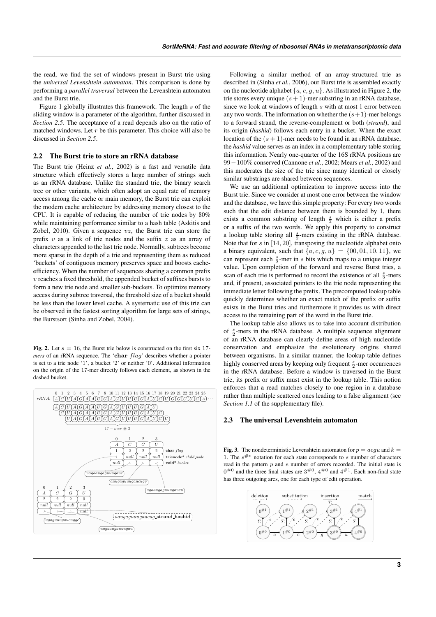the read, we find the set of windows present in Burst trie using the *universal Levenshtein automaton*. This comparison is done by performing a *parallel traversal* between the Levenshtein automaton and the Burst trie.

Figure 1 globally illustrates this framework. The length  $s$  of the sliding window is a parameter of the algorithm, further discussed in *Section 2.5*. The acceptance of a read depends also on the ratio of matched windows. Let  $r$  be this parameter. This choice will also be discussed in *Section 2.5*.

# 2.2 The Burst trie to store an rRNA database

The Burst trie (Heinz *et al.*, 2002) is a fast and versatile data structure which effectively stores a large number of strings such as an rRNA database. Unlike the standard trie, the binary search tree or other variants, which often adopt an equal rate of memory access among the cache or main memory, the Burst trie can exploit the modern cache architecture by addressing memory closest to the CPU. It is capable of reducing the number of trie nodes by 80% while maintaining performance similar to a hash table (Askitis and Zobel, 2010). Given a sequence  $vz$ , the Burst trie can store the prefix  $v$  as a link of trie nodes and the suffix  $z$  as an array of characters appended to the last trie node. Normally, subtrees become more sparse in the depth of a trie and representing them as reduced 'buckets' of contiguous memory preserves space and boosts cacheefficiency. When the number of sequences sharing a common prefix  $v$  reaches a fixed threshold, the appended bucket of suffixes bursts to form a new trie node and smaller sub-buckets. To optimize memory access during subtree traversal, the threshold size of a bucket should be less than the lower level cache. A systematic use of this trie can be observed in the fastest sorting algorithm for large sets of strings, the Burstsort (Sinha and Zobel, 2004).

Fig. 2. Let  $s = 16$ , the Burst trie below is constructed on the first six 17*mers* of an rRNA sequence. The 'char  $flag'$  describes whether a pointer is set to a trie node '1', a bucket '2' or neither '0'. Additional information on the origin of the 17-mer directly follows each element, as shown in the dashed bucket.



Following a similar method of an array-structured trie as described in (Sinha *et al.*, 2006), our Burst trie is assembled exactly on the nucleotide alphabet  $\{a, c, q, u\}$ . As illustrated in Figure 2, the trie stores every unique  $(s + 1)$ -mer substring in an rRNA database, since we look at windows of length s with at most 1 error between any two words. The information on whether the  $(s+1)$ -mer belongs to a forward strand, the reverse-complement or both (*strand*), and its origin (*hashid*) follows each entry in a bucket. When the exact location of the  $(s + 1)$ -mer needs to be found in an rRNA database, the *hashid* value serves as an index in a complementary table storing this information. Nearly one-quarter of the 16S rRNA positions are 99−100% conserved (Cannone *et al.*, 2002; Mears *et al.*, 2002) and this moderates the size of the trie since many identical or closely similar substrings are shared between sequences.

We use an additional optimization to improve access into the Burst trie. Since we consider at most one error between the window and the database, we have this simple property: For every two words such that the edit distance between them is bounded by 1, there exists a common substring of length  $\frac{s}{2}$  which is either a prefix or a suffix of the two words. We apply this property to construct a lookup table storing all  $\frac{s}{2}$ -mers existing in the rRNA database. Note that for s in [14, 20], transposing the nucleotide alphabet onto a binary equivalent, such that  $\{a, c, g, u\} = \{00, 01, 10, 11\}$ , we can represent each  $\frac{s}{2}$ -mer in s bits which maps to a unique integer value. Upon completion of the forward and reverse Burst tries, a scan of each trie is performed to record the existence of all  $\frac{s}{2}$ -mers and, if present, associated pointers to the trie node representing the immediate letter following the prefix. The precomputed lookup table quickly determines whether an exact match of the prefix or suffix exists in the Burst tries and furthermore it provides us with direct access to the remaining part of the word in the Burst trie.

The lookup table also allows us to take into account distribution of  $\frac{s}{2}$ -mers in the rRNA database. A multiple sequence alignment of an rRNA database can clearly define areas of high nucleotide conservation and emphasize the evolutionary origins shared between organisms. In a similar manner, the lookup table defines highly conserved areas by keeping only frequent  $\frac{s}{2}$ -mer occurrences in the rRNA database. Before a window is traversed in the Burst trie, its prefix or suffix must exist in the lookup table. This notion enforces that a read matches closely to one region in a database rather than multiple scattered ones leading to a false alignment (see *Section 1.1* of the supplementary file).

# 2.3 The universal Levenshtein automaton

Fig. 3. The nondeterministic Levenshtein automaton for  $p = acqu$  and  $k =$ 1. The  $s^{\#e}$  notation for each state corresponds to s number of characters read in the pattern  $p$  and  $e$  number of errors recorded. The initial state is  $0^{#0}$  and the three final states are  $3^{#0}$ ,  $4^{#0}$  and  $4^{#1}$ . Each non-final state has three outgoing arcs, one for each type of edit operation.

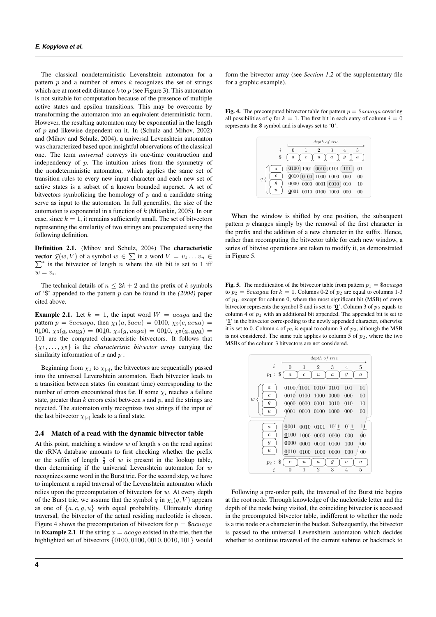The classical nondeterministic Levenshtein automaton for a pattern  $p$  and a number of errors  $k$  recognizes the set of strings which are at most edit distance  $k$  to  $p$  (see Figure 3). This automaton is not suitable for computation because of the presence of multiple active states and epsilon transitions. This may be overcome by transforming the automaton into an equivalent deterministic form. However, the resulting automaton may be exponential in the length of  $p$  and likewise dependent on it. In (Schulz and Mihov, 2002) and (Mihov and Schulz, 2004), a universal Levenshtein automaton was characterized based upon insightful observations of the classical one. The term *universal* conveys its one-time construction and independency of  $p$ . The intuition arises from the symmetry of the nondeterministic automaton, which applies the same set of transition rules to every new input character and each new set of active states is a subset of a known bounded superset. A set of bitvectors symbolizing the homology of  $p$  and a candidate string serve as input to the automaton. In full generality, the size of the automaton is exponential in a function of  $k$  (Mitankin, 2005). In our case, since  $k = 1$ , it remains sufficiently small. The set of bitvectors representing the similarity of two strings are precomputed using the following definition.

Definition 2.1. (Mihov and Schulz, 2004) The characteristic **vector**  $\vec{\chi}(w, V)$  of a symbol  $w \in \sum$  in a word  $V = v_1 \dots v_n \in$  $\sum^*$  is the bitvector of length n where the *i*th bit is set to 1 iff  $w = v_i$ .

The technical details of  $n \leq 2k + 2$  and the prefix of k symbols of '\$' appended to the pattern p can be found in the *(2004)* paper cited above.

**Example 2.1.** Let  $k = 1$ , the input word  $W = acaga$  and the pattern  $p = \$acuaga$ , then  $\chi_1(\underline{a}, \$\underline{a}cu) = 0\underline{1}00$ ,  $\chi_2(\underline{c}, a\underline{c}ua) =$ 0100,  $\chi_3(\underline{a}, \alpha \underline{u} \underline{a} g) = 0010$ ,  $\chi_4(g, \alpha \underline{a} g) = 0010$ ,  $\chi_5(\underline{a}, \underline{a} g) =$ 101 are the computed characteristic bitvectors. It follows that  $\{\chi_1, \ldots, \chi_5\}$  is the *characteristic bitvector array* carrying the similarity information of  $x$  and  $p$ .

Beginning from  $\chi_1$  to  $\chi_{|s|}$ , the bitvectors are sequentially passed into the universal Levenshtein automaton. Each bitvector leads to a transition between states (in constant time) corresponding to the number of errors encountered thus far. If some  $\chi_i$  reaches a failure state, greater than  $k$  errors exist between  $s$  and  $p$ , and the strings are rejected. The automaton only recognizes two strings if the input of the last bitvector  $\chi_{|s|}$  leads to a final state.

#### 2.4 Match of a read with the dynamic bitvector table

At this point, matching a window  $w$  of length  $s$  on the read against the rRNA database amounts to first checking whether the prefix or the suffix of length  $\frac{s}{2}$  of w is present in the lookup table, then determining if the universal Levenshtein automaton for  $w$ recognizes some word in the Burst trie. For the second step, we have to implement a rapid traversal of the Levenshtein automaton which relies upon the precomputation of bitvectors for  $w$ . At every depth of the Burst trie, we assume that the symbol q in  $\chi_i(q, V)$  appears as one of  $\{a, c, g, u\}$  with equal probability. Ultimately during traversal, the bitvector of the actual residing nucleotide is chosen. Figure 4 shows the precomputation of bitvectors for  $p = \$acuaga$ in **Example 2.1**. If the string  $x = acaga$  existed in the trie, then the highlighted set of bitvectors {0100, 0100, 0010, 0010, 101} would form the bitvector array (see *Section 1.2* of the supplementary file for a graphic example).

Fig. 4. The precomputed bitvector table for pattern  $p = \$acuaga$  covering all possibilities of q for  $k = 1$ . The first bit in each entry of column  $i = 0$ represents the \$ symbol and is always set to '0'.



When the window is shifted by one position, the subsequent pattern  $p$  changes simply by the removal of the first character in the prefix and the addition of a new character in the suffix. Hence, rather than recomputing the bitvector table for each new window, a series of bitwise operations are taken to modify it, as demonstrated in Figure 5.

Fig. 5. The modification of the bitvector table from pattern  $p_1 = \$acuaga$ to  $p_2 =$  \$*cuagaa* for  $k = 1$ . Columns 0-2 of  $p_2$  are equal to columns 1-3 of  $p_1$ , except for column 0, where the most significant bit (MSB) of every bitvector represents the symbol \$ and is set to '0'. Column 3 of  $p_2$  equals to column 4 of  $p_1$  with an additional bit appended. The appended bit is set to '1' in the bitvector correspoding to the newly appended character, otherwise it is set to 0. Column 4 of  $p_2$  is equal to column 3 of  $p_2$ , although the MSB is not considered. The same rule applies to column 5 of  $p_2$ , where the two MSBs of the column 3 bitvectors are not considered.



Following a pre-order path, the traversal of the Burst trie begins at the root node. Through knowledge of the nucleotide letter and the depth of the node being visited, the coinciding bitvector is accessed in the precomputed bitvector table, indifferent to whether the node is a trie node or a character in the bucket. Subsequently, the bitvector is passed to the universal Levenshtein automaton which decides whether to continue traversal of the current subtree or backtrack to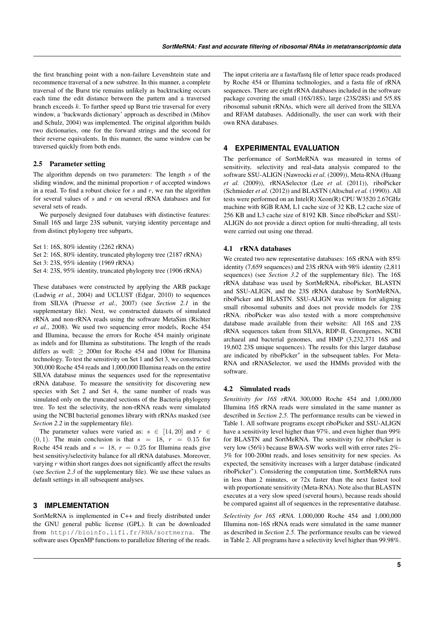the first branching point with a non-failure Levenshtein state and recommence traversal of a new substree. In this manner, a complete traversal of the Burst trie remains unlikely as backtracking occurs each time the edit distance between the pattern and a traversed branch exceeds k. To further speed up Burst trie traversal for every window, a 'backwards dictionary' approach as described in (Mihov and Schulz, 2004) was implemented. The original algorithm builds two dictionaries, one for the forward strings and the second for their reverse equivalents. In this manner, the same window can be traversed quickly from both ends.

## 2.5 Parameter setting

The algorithm depends on two parameters: The length s of the sliding window, and the minimal proportion  $r$  of accepted windows in a read. To find a robust choice for  $s$  and  $r$ , we ran the algorithm for several values of  $s$  and  $r$  on several rRNA databases and for several sets of reads.

We purposely designed four databases with distinctive features: Small 16S and large 23S subunit, varying identity percentage and from distinct phylogeny tree subparts,

- Set 1: 16S, 80% identity (2262 rRNA)
- Set 2: 16S, 80% identity, truncated phylogeny tree (2187 rRNA)
- Set 3: 23S, 95% identity (1969 rRNA)

Set 4: 23S, 95% identity, truncated phylogeny tree (1906 rRNA)

These databases were constructed by applying the ARB package (Ludwig *et al.*, 2004) and UCLUST (Edgar, 2010) to sequences from SILVA (Pruesse *et al.*, 2007) (see *Section 2.1* in the supplementary file). Next, we constructed datasets of simulated rRNA and non-rRNA reads using the software MetaSim (Richter *et al.*, 2008). We used two sequencing error models, Roche 454 and Illumina, because the errors for Roche 454 mainly originate as indels and for Illumina as substitutions. The length of the reads differs as well:  $\geq$  200nt for Roche 454 and 100nt for Illumina technology. To test the sensitivity on Set 1 and Set 3, we constructed 300,000 Roche 454 reads and 1,000,000 Illumina reads on the entire SILVA database minus the sequences used for the representative rRNA database. To measure the sensitivity for discovering new species with Set 2 and Set 4, the same number of reads was simulated only on the truncated sections of the Bacteria phylogeny tree. To test the selectivity, the non-rRNA reads were simulated using the NCBI bacterial genomes library with rRNAs masked (see *Section 2.2* in the supplementary file).

The parameter values were varied as:  $s \in [14, 20]$  and  $r \in$  $(0, 1)$ . The main conclusion is that  $s = 18$ ,  $r = 0.15$  for Roche 454 reads and  $s = 18$ ,  $r = 0.25$  for Illumina reads give best sensitivy/selectivity balance for all rRNA databases. Moreover, varying  $r$  within short ranges does not significantly affect the results (see *Section 2.3* of the supplementary file). We use these values as default settings in all subsequent analyses.

## **3 IMPLEMENTATION**

SortMeRNA is implemented in C++ and freely distributed under the GNU general public license (GPL). It can be downloaded from http://bioinfo.lifl.fr/RNA/sortmerna. The software uses OpenMP functions to parallelize filtering of the reads. The input criteria are a fasta/fastq file of letter space reads produced by Roche 454 or Illumina technologies, and a fasta file of rRNA sequences. There are eight rRNA databases included in the software package covering the small (16S/18S), large (23S/28S) and 5/5.8S ribosomal subunit rRNAs, which were all derived from the SILVA and RFAM databases. Additionally, the user can work with their own RNA databases.

## **4 EXPERIMENTAL EVALUATION**

The performance of SortMeRNA was measured in terms of sensitivity, selectivity and real-data analysis compared to the software SSU-ALIGN (Nawrocki *et al.* (2009)), Meta-RNA (Huang *et al.* (2009)), rRNASelector (Lee *et al.* (2011)), riboPicker (Schmieder *et al.* (2012)) and BLASTN (Altschul *et al.* (1990)). All tests were performed on an Intel(R) Xeon(R) CPU W3520 2.67GHz machine with 8GB RAM, L1 cache size of 32 KB, L2 cache size of 256 KB and L3 cache size of 8192 KB. Since riboPicker and SSU-ALIGN do not provide a direct option for multi-threading, all tests were carried out using one thread.

#### 4.1 rRNA databases

We created two new representative databases: 16S rRNA with 85% identity (7,659 sequences) and 23S rRNA with 98% identity (2,811 sequences) (see *Section 3.2* of the supplementary file). The 16S rRNA database was used by SortMeRNA, riboPicker, BLASTN and SSU-ALIGN, and the 23S rRNA database by SortMeRNA, riboPicker and BLASTN. SSU-ALIGN was written for aligning small ribosomal subunits and does not provide models for 23S rRNA. riboPicker was also tested with a more comprehensive database made available from their website: All 16S and 23S rRNA sequences taken from SILVA, RDP-II, Greengenes, NCBI archaeal and bacterial genomes, and HMP (3,232,371 16S and 19,602 23S unique sequences). The results for this larger database are indicated by riboPicker<sup>∗</sup> in the subsequent tables. For Meta-RNA and rRNASelector, we used the HMMs provided with the software.

#### 4.2 Simulated reads

*Sensitivity for 16S rRNA.* 300,000 Roche 454 and 1,000,000 Illumina 16S rRNA reads were simulated in the same manner as described in *Section 2.5*. The performance results can be viewed in Table 1. All software programs except riboPicker and SSU-ALIGN have a sensitivity level higher than 97%, and even higher than 99% for BLASTN and SortMeRNA. The sensitivity for riboPicker is very low (56%) because BWA-SW works well with error rates 2%- 3% for 100-200nt reads, and loses sensitivity for new species. As expected, the sensitivity increases with a larger database (indicated riboPicker<sup>∗</sup> ). Considering the computation time, SortMeRNA runs in less than 2 minutes, or 72x faster than the next fastest tool with proportionate sensitivity (Meta-RNA). Note also that BLASTN executes at a very slow speed (several hours), because reads should be compared against all of sequences in the representative database.

*Selectivity for 16S rRNA.* 1,000,000 Roche 454 and 1,000,000 Illumina non-16S rRNA reads were simulated in the same manner as described in *Section 2.5*. The performance results can be viewed in Table 2. All programs have a selectivity level higher than 99.98%.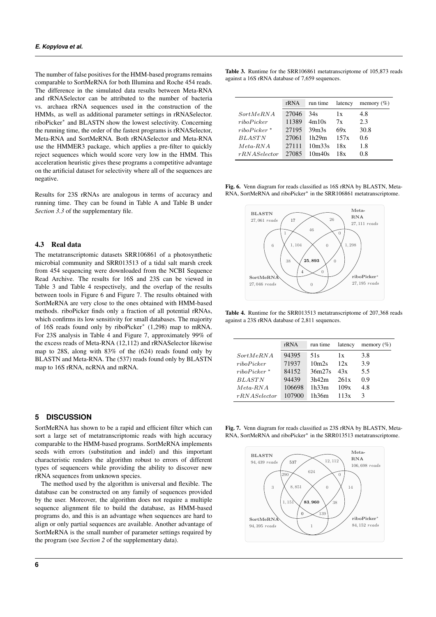The number of false positives for the HMM-based programs remains comparable to SortMeRNA for both Illumina and Roche 454 reads. The difference in the simulated data results between Meta-RNA and rRNASelector can be attributed to the number of bacteria vs. archaea rRNA sequences used in the construction of the HMMs, as well as additional parameter settings in rRNASelector. riboPicker<sup>∗</sup> and BLASTN show the lowest selectivity. Concerning the running time, the order of the fastest programs is rRNASelector, Meta-RNA and SortMeRNA. Both rRNASelector and Meta-RNA use the HMMER3 package, which applies a pre-filter to quickly reject sequences which would score very low in the HMM. This acceleration heuristic gives these programs a competitive advantage on the artificial dataset for selectivity where all of the sequences are negative.

Results for 23S rRNAs are analogous in terms of accuracy and running time. They can be found in Table A and Table B under *Section 3.3* of the supplementary file.

#### 4.3 Real data

The metatranscriptomic datasets SRR106861 of a photosynthetic microbial community and SRR013513 of a tidal salt marsh creek from 454 sequencing were downloaded from the NCBI Sequence Read Archive. The results for 16S and 23S can be viewed in Table 3 and Table 4 respectively, and the overlap of the results between tools in Figure 6 and Figure 7. The results obtained with SortMeRNA are very close to the ones obtained with HMM-based methods. riboPicker finds only a fraction of all potential rRNAs, which confirms its low sensitivity for small databases. The majority of 16S reads found only by riboPicker<sup>∗</sup> (1,298) map to mRNA. For 23S analysis in Table 4 and Figure 7, approximately 99% of the excess reads of Meta-RNA (12,112) and rRNASelector likewise map to 28S, along with 83% of the (624) reads found only by BLASTN and Meta-RNA. The (537) reads found only by BLASTN map to 16S rRNA, ncRNA and mRNA.

### **5 DISCUSSION**

SortMeRNA has shown to be a rapid and efficient filter which can sort a large set of metatranscriptomic reads with high accuracy comparable to the HMM-based programs. SortMeRNA implements seeds with errors (substitution and indel) and this important characteristic renders the algorithm robust to errors of different types of sequencers while providing the ability to discover new rRNA sequences from unknown species.

The method used by the algorithm is universal and flexible. The database can be constructed on any family of sequences provided by the user. Moreover, the algorithm does not require a multiple sequence alignment file to build the database, as HMM-based programs do, and this is an advantage when sequences are hard to align or only partial sequences are available. Another advantage of SortMeRNA is the small number of parameter settings required by the program (see *Section 2* of the supplementary data).

Table 3. Runtime for the SRR106861 metatranscriptome of 105,873 reads against a 16S rRNA database of 7,659 sequences.

|                | rRNA  | run time                        | latency | memory $(\% )$ |  |
|----------------|-------|---------------------------------|---------|----------------|--|
| SortMeRNA      | 27046 | 34s                             | 1x      | 4.8            |  |
| ribo Picker    | 11389 | 4m10s                           | 7x      | 2.3            |  |
| $ribo Picker*$ | 27195 | 39 <sub>m3s</sub>               | 69x     | 30.8           |  |
| <b>BLASTN</b>  | 27061 | 1h29m                           | 157x    | 0.6            |  |
| $Meta-RNA$     | 27111 | 10 <sub>m</sub> 33 <sub>s</sub> | 18x     | 1.8            |  |
| rRNAS electron | 27085 | 10 <sub>m40s</sub>              | 18x     | 0.8            |  |

Fig. 6. Venn diagram for reads classified as 16S rRNA by BLASTN, Meta-RNA, SortMeRNA and riboPicker<sup>∗</sup> in the SRR106861 metatranscriptome.



Table 4. Runtime for the SRR013513 metatranscriptome of 207,368 reads against a 23S rRNA database of 2,811 sequences.

|                | rRNA   | run time          | latency | memory $(\% )$ |
|----------------|--------|-------------------|---------|----------------|
| SortMeRNA      | 94395  | 51s               | 1x      | 3.8            |
| ribo Picker    | 71937  | 10 <sub>m2s</sub> | 12x     | 3.9            |
| $ribo Picker*$ | 84152  | 36m27s            | 43x     | 5.5            |
| <b>BLASTN</b>  | 94439  | 3h42m             | 261x    | 0.9            |
| $Meta-RNA$     | 106698 | 1h33m             | 109x    | 4.8            |
| rRNAS electron | 107900 | 1h36m             | 113x    | 3              |

Fig. 7. Venn diagram for reads classified as 23S rRNA by BLASTN, Meta-RNA, SortMeRNA and riboPicker<sup>∗</sup> in the SRR013513 metatranscriptome.